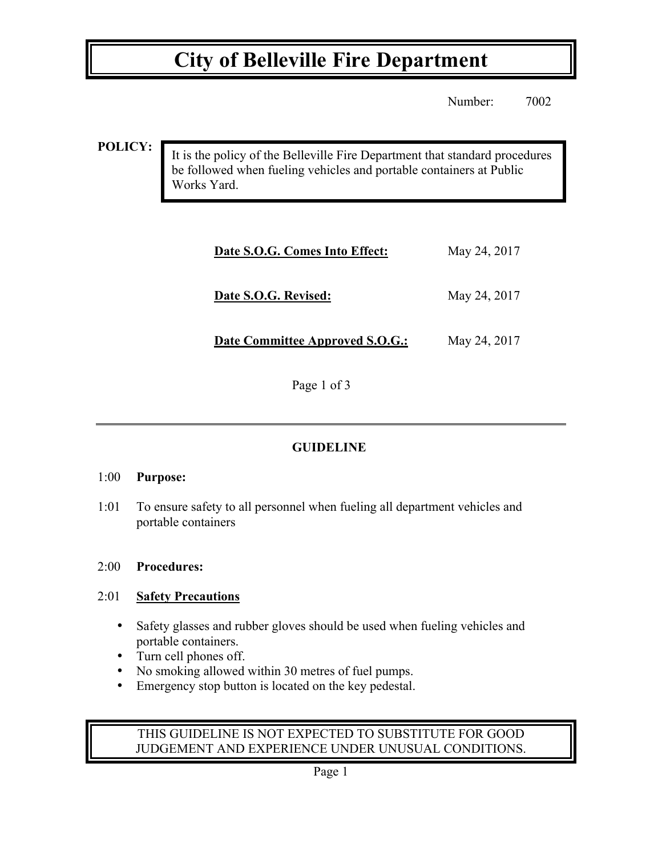### **City of Belleville Fire Department**

Number: 7002

**POLICY:**

It is the policy of the Belleville Fire Department that standard procedures be followed when fueling vehicles and portable containers at Public Works Yard.

| Date S.O.G. Comes Into Effect:         | May 24, 2017 |
|----------------------------------------|--------------|
| Date S.O.G. Revised:                   | May 24, 2017 |
| <b>Date Committee Approved S.O.G.:</b> | May 24, 2017 |

Page 1 of 3

### **GUIDELINE**

#### 1:00 **Purpose:**

1:01 To ensure safety to all personnel when fueling all department vehicles and portable containers

#### 2:00 **Procedures:**

#### 2:01 **Safety Precautions**

- Safety glasses and rubber gloves should be used when fueling vehicles and portable containers.
- Turn cell phones off.
- No smoking allowed within 30 metres of fuel pumps.
- Emergency stop button is located on the key pedestal.

#### THIS GUIDELINE IS NOT EXPECTED TO SUBSTITUTE FOR GOOD JUDGEMENT AND EXPERIENCE UNDER UNUSUAL CONDITIONS.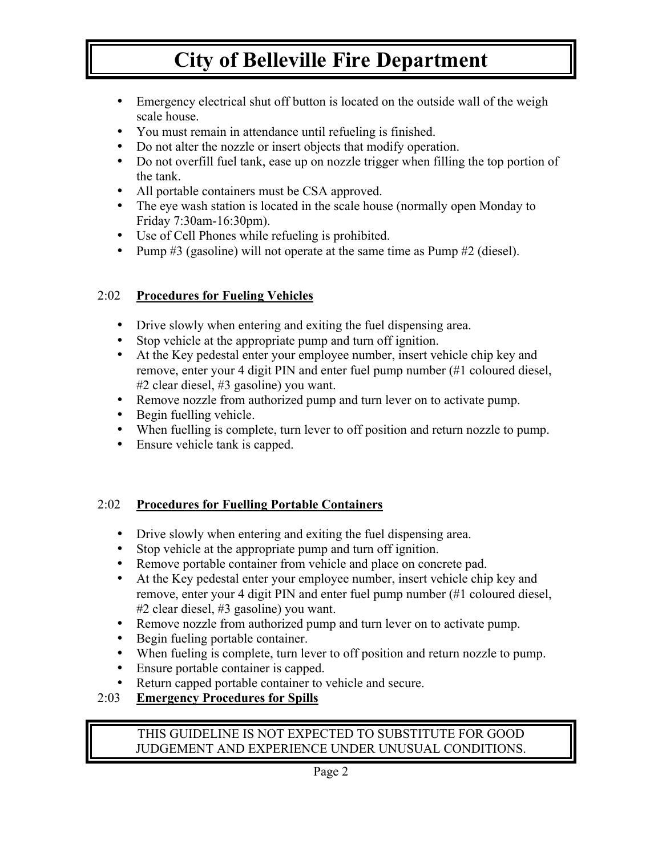# **City of Belleville Fire Department**

- Emergency electrical shut off button is located on the outside wall of the weigh scale house.
- You must remain in attendance until refueling is finished.
- Do not alter the nozzle or insert objects that modify operation.
- Do not overfill fuel tank, ease up on nozzle trigger when filling the top portion of the tank.
- All portable containers must be CSA approved.
- The eye wash station is located in the scale house (normally open Monday to Friday 7:30am-16:30pm).
- Use of Cell Phones while refueling is prohibited.
- Pump #3 (gasoline) will not operate at the same time as Pump #2 (diesel).

#### 2:02 **Procedures for Fueling Vehicles**

- Drive slowly when entering and exiting the fuel dispensing area.
- Stop vehicle at the appropriate pump and turn off ignition.
- At the Key pedestal enter your employee number, insert vehicle chip key and remove, enter your 4 digit PIN and enter fuel pump number (#1 coloured diesel, #2 clear diesel, #3 gasoline) you want.
- Remove nozzle from authorized pump and turn lever on to activate pump.
- Begin fuelling vehicle.
- When fuelling is complete, turn lever to off position and return nozzle to pump.
- Ensure vehicle tank is capped.

#### 2:02 **Procedures for Fuelling Portable Containers**

- Drive slowly when entering and exiting the fuel dispensing area.
- Stop vehicle at the appropriate pump and turn off ignition.
- Remove portable container from vehicle and place on concrete pad.
- At the Key pedestal enter your employee number, insert vehicle chip key and remove, enter your 4 digit PIN and enter fuel pump number (#1 coloured diesel, #2 clear diesel, #3 gasoline) you want.
- Remove nozzle from authorized pump and turn lever on to activate pump.
- Begin fueling portable container.
- When fueling is complete, turn lever to off position and return nozzle to pump.
- Ensure portable container is capped.
- Return capped portable container to vehicle and secure.
- 2:03 **Emergency Procedures for Spills**

#### THIS GUIDELINE IS NOT EXPECTED TO SUBSTITUTE FOR GOOD JUDGEMENT AND EXPERIENCE UNDER UNUSUAL CONDITIONS.